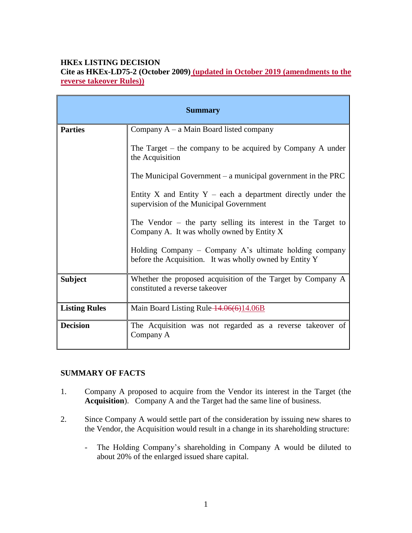### **HKEx LISTING DECISION**

**Cite as HKEx-LD75-2 (October 2009) (updated in October 2019 (amendments to the reverse takeover Rules))**

| <b>Summary</b>       |                                                                                                                   |
|----------------------|-------------------------------------------------------------------------------------------------------------------|
| <b>Parties</b>       | Company $A - a$ Main Board listed company                                                                         |
|                      | The Target – the company to be acquired by Company A under<br>the Acquisition                                     |
|                      | The Municipal Government $-$ a municipal government in the PRC                                                    |
|                      | Entity X and Entity $Y$ – each a department directly under the<br>supervision of the Municipal Government         |
|                      | The Vendor $-$ the party selling its interest in the Target to<br>Company A. It was wholly owned by Entity X      |
|                      | Holding Company – Company A's ultimate holding company<br>before the Acquisition. It was wholly owned by Entity Y |
| <b>Subject</b>       | Whether the proposed acquisition of the Target by Company A<br>constituted a reverse takeover                     |
| <b>Listing Rules</b> | Main Board Listing Rule 14.06(6)14.06B                                                                            |
| <b>Decision</b>      | The Acquisition was not regarded as a reverse takeover of<br>Company A                                            |

### **SUMMARY OF FACTS**

- 1. Company A proposed to acquire from the Vendor its interest in the Target (the **Acquisition**). Company A and the Target had the same line of business.
- 2. Since Company A would settle part of the consideration by issuing new shares to the Vendor, the Acquisition would result in a change in its shareholding structure:
	- The Holding Company's shareholding in Company A would be diluted to about 20% of the enlarged issued share capital.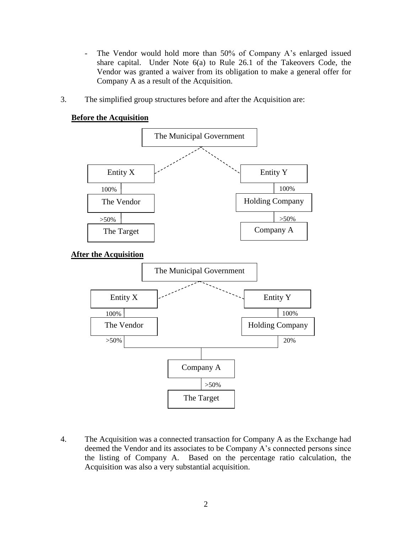- The Vendor would hold more than 50% of Company A's enlarged issued share capital. Under Note 6(a) to Rule 26.1 of the Takeovers Code, the Vendor was granted a waiver from its obligation to make a general offer for Company A as a result of the Acquisition.
- 3. The simplified group structures before and after the Acquisition are:





4. The Acquisition was a connected transaction for Company A as the Exchange had deemed the Vendor and its associates to be Company A's connected persons since the listing of Company A. Based on the percentage ratio calculation, the Acquisition was also a very substantial acquisition.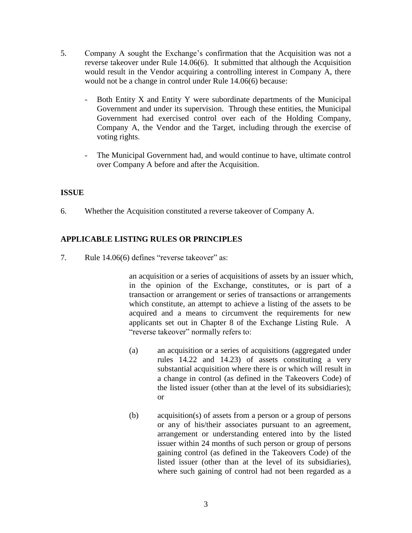- 5. Company A sought the Exchange's confirmation that the Acquisition was not a reverse takeover under Rule 14.06(6). It submitted that although the Acquisition would result in the Vendor acquiring a controlling interest in Company A, there would not be a change in control under Rule 14.06(6) because:
	- Both Entity X and Entity Y were subordinate departments of the Municipal Government and under its supervision. Through these entities, the Municipal Government had exercised control over each of the Holding Company, Company A, the Vendor and the Target, including through the exercise of voting rights.
	- The Municipal Government had, and would continue to have, ultimate control over Company A before and after the Acquisition.

# **ISSUE**

6. Whether the Acquisition constituted a reverse takeover of Company A.

# **APPLICABLE LISTING RULES OR PRINCIPLES**

7. Rule 14.06(6) defines "reverse takeover" as:

an acquisition or a series of acquisitions of assets by an issuer which, in the opinion of the Exchange, constitutes, or is part of a transaction or arrangement or series of transactions or arrangements which constitute, an attempt to achieve a listing of the assets to be acquired and a means to circumvent the requirements for new applicants set out in Chapter 8 of the Exchange Listing Rule. A "reverse takeover" normally refers to:

- (a) an acquisition or a series of acquisitions (aggregated under rules 14.22 and 14.23) of assets constituting a very substantial acquisition where there is or which will result in a change in control (as defined in the Takeovers Code) of the listed issuer (other than at the level of its subsidiaries); or
- (b) acquisition(s) of assets from a person or a group of persons or any of his/their associates pursuant to an agreement, arrangement or understanding entered into by the listed issuer within 24 months of such person or group of persons gaining control (as defined in the Takeovers Code) of the listed issuer (other than at the level of its subsidiaries), where such gaining of control had not been regarded as a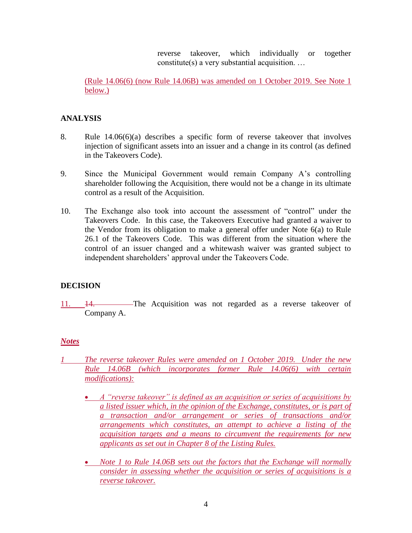reverse takeover, which individually or together constitute(s) a very substantial acquisition. …

(Rule 14.06(6) (now Rule 14.06B) was amended on 1 October 2019. See Note 1 below.)

### **ANALYSIS**

- 8. Rule 14.06(6)(a) describes a specific form of reverse takeover that involves injection of significant assets into an issuer and a change in its control (as defined in the Takeovers Code).
- 9. Since the Municipal Government would remain Company A's controlling shareholder following the Acquisition, there would not be a change in its ultimate control as a result of the Acquisition.
- 10. The Exchange also took into account the assessment of "control" under the Takeovers Code. In this case, the Takeovers Executive had granted a waiver to the Vendor from its obligation to make a general offer under Note 6(a) to Rule 26.1 of the Takeovers Code. This was different from the situation where the control of an issuer changed and a whitewash waiver was granted subject to independent shareholders' approval under the Takeovers Code.

### **DECISION**

11. 14. The Acquisition was not regarded as a reverse takeover of Company A.

### *Notes*

- *1 The reverse takeover Rules were amended on 1 October 2019. Under the new Rule 14.06B (which incorporates former Rule 14.06(6) with certain modifications):*
	- *A "reverse takeover" is defined as an acquisition or series of acquisitions by a listed issuer which, in the opinion of the Exchange, constitutes, or is part of a transaction and/or arrangement or series of transactions and/or arrangements which constitutes, an attempt to achieve a listing of the acquisition targets and a means to circumvent the requirements for new applicants as set out in Chapter 8 of the Listing Rules.*
	- *Note 1 to Rule 14.06B sets out the factors that the Exchange will normally consider in assessing whether the acquisition or series of acquisitions is a reverse takeover.*